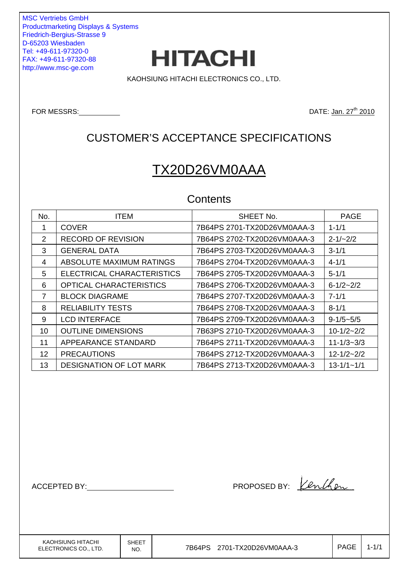MSC Vertriebs GmbH Productmarketing Displays & Systems Friedrich-Bergius-Strasse 9 D-65203 Wiesbaden Tel: +49-611-97320-0 FAX: +49-611-97320-88 http://www.msc-ge.com



KAOHSIUNG HITACHI ELECTRONICS CO., LTD.

FOR MESSRS: <u>DATE: Jan. 27<sup>th</sup> 2010</u>

# CUSTOMER'S ACCEPTANCE SPECIFICATIONS

# TX20D26VM0AAA

### **Contents**

| No. | <b>ITEM</b>                    | SHEET No.                   | <b>PAGE</b>      |
|-----|--------------------------------|-----------------------------|------------------|
|     | <b>COVER</b>                   | 7B64PS 2701-TX20D26VM0AAA-3 | $1 - 1/1$        |
| 2   | <b>RECORD OF REVISION</b>      | 7B64PS 2702-TX20D26VM0AAA-3 | $2 - 1/2$ /2     |
| 3   | <b>GENERAL DATA</b>            | 7B64PS 2703-TX20D26VM0AAA-3 | $3 - 1/1$        |
| 4   | ABSOLUTE MAXIMUM RATINGS       | 7B64PS 2704-TX20D26VM0AAA-3 | $4 - 1/1$        |
| 5   | ELECTRICAL CHARACTERISTICS     | 7B64PS 2705-TX20D26VM0AAA-3 | $5 - 1/1$        |
| 6   | <b>OPTICAL CHARACTERISTICS</b> | 7B64PS 2706-TX20D26VM0AAA-3 | $6 - 1/2 - 2/2$  |
| 7   | <b>BLOCK DIAGRAME</b>          | 7B64PS 2707-TX20D26VM0AAA-3 | $7 - 1/1$        |
| 8   | <b>RELIABILITY TESTS</b>       | 7B64PS 2708-TX20D26VM0AAA-3 | $8 - 1/1$        |
| 9   | <b>LCD INTERFACE</b>           | 7B64PS 2709-TX20D26VM0AAA-3 | $9-1/5 - 5/5$    |
| 10  | <b>OUTLINE DIMENSIONS</b>      | 7B63PS 2710-TX20D26VM0AAA-3 | $10-1/2-2/2$     |
| 11  | APPEARANCE STANDARD            | 7B64PS 2711-TX20D26VM0AAA-3 | $11 - 1/3 - 3/3$ |
| 12  | <b>PRECAUTIONS</b>             | 7B64PS 2712-TX20D26VM0AAA-3 | $12 - 1/2 - 2/2$ |
| 13  | <b>DESIGNATION OF LOT MARK</b> | 7B64PS 2713-TX20D26VM0AAA-3 | $13 - 1/1 - 1/1$ |

ACCEPTED BY: NETTER BY: 1

KAOHSIUNG HITACHI ELECTRONICS CO., LTD. SHEET

 $N_{\text{NO.}}$  7B64PS 2701-TX20D26VM0AAA-3  $\vert$  PAGE 1-1/1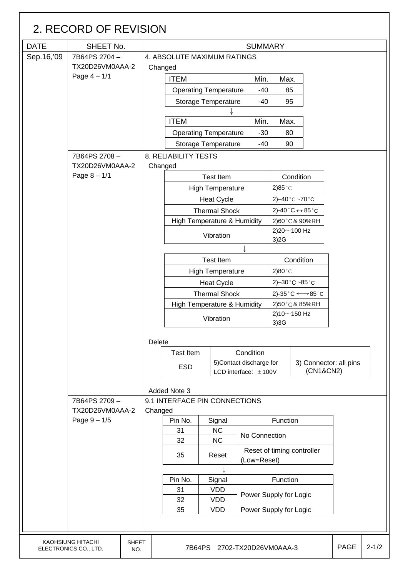|             | 2. RECORD OF REVISION                      |                     |                                            |                               |  |                                                                |               |                |                        |                                                      |             |           |
|-------------|--------------------------------------------|---------------------|--------------------------------------------|-------------------------------|--|----------------------------------------------------------------|---------------|----------------|------------------------|------------------------------------------------------|-------------|-----------|
| <b>DATE</b> | SHEET No.                                  |                     |                                            |                               |  |                                                                |               | <b>SUMMARY</b> |                        |                                                      |             |           |
| Sep.16,'09  | 7B64PS 2704-                               |                     |                                            | 4. ABSOLUTE MAXIMUM RATINGS   |  |                                                                |               |                |                        |                                                      |             |           |
|             | TX20D26VM0AAA-2                            |                     | Changed                                    |                               |  |                                                                |               |                |                        |                                                      |             |           |
|             | Page $4 - 1/1$                             |                     |                                            | <b>ITEM</b>                   |  |                                                                |               | Min.           | Max.                   |                                                      |             |           |
|             |                                            |                     |                                            |                               |  | <b>Operating Temperature</b>                                   |               | $-40$          | 85                     |                                                      |             |           |
|             |                                            |                     |                                            |                               |  | <b>Storage Temperature</b>                                     |               | $-40$          | 95                     |                                                      |             |           |
|             |                                            |                     |                                            |                               |  |                                                                |               |                |                        |                                                      |             |           |
|             |                                            |                     |                                            | <b>ITEM</b>                   |  |                                                                |               | Min.           | Max.                   |                                                      |             |           |
|             |                                            |                     |                                            |                               |  | <b>Operating Temperature</b>                                   |               | $-30$          | 80                     |                                                      |             |           |
|             |                                            |                     |                                            |                               |  | <b>Storage Temperature</b>                                     |               | $-40$          | 90                     |                                                      |             |           |
|             | 8. RELIABILITY TESTS<br>7B64PS 2708-       |                     |                                            |                               |  |                                                                |               |                |                        |                                                      |             |           |
|             | TX20D26VM0AAA-2                            | Changed             |                                            |                               |  |                                                                |               |                |                        |                                                      |             |           |
|             | Page $8 - 1/1$                             |                     |                                            | <b>Test Item</b><br>Condition |  |                                                                |               |                |                        |                                                      |             |           |
|             |                                            |                     |                                            |                               |  | <b>High Temperature</b>                                        |               |                | 2)85 $^{\circ}$ C      |                                                      |             |           |
|             |                                            |                     |                                            |                               |  | <b>Heat Cycle</b>                                              |               |                | 2) $-40$ °C $-70$ °C   |                                                      |             |           |
|             |                                            |                     |                                            |                               |  | <b>Thermal Shock</b>                                           |               |                |                        | 2)-40 $^{\circ}$ C $\leftrightarrow$ 85 $^{\circ}$ C |             |           |
|             |                                            |                     |                                            |                               |  | High Temperature & Humidity                                    |               |                |                        | 2)60°C&90%RH                                         |             |           |
|             |                                            |                     |                                            |                               |  | Vibration                                                      |               |                | 2)20 $\sim$ 100 Hz     |                                                      |             |           |
|             |                                            |                     |                                            |                               |  |                                                                |               |                | 3)2G                   |                                                      |             |           |
|             |                                            |                     |                                            |                               |  | <b>Test Item</b>                                               |               |                |                        | Condition                                            |             |           |
|             |                                            |                     |                                            |                               |  |                                                                |               |                |                        |                                                      |             |           |
|             |                                            |                     |                                            |                               |  | <b>High Temperature</b>                                        |               |                | $2)80^{\circ}$ C       |                                                      |             |           |
|             |                                            |                     |                                            |                               |  | <b>Heat Cycle</b>                                              |               |                |                        | 2)-30 $^{\circ}$ C ~85 $^{\circ}$ C                  |             |           |
|             |                                            |                     |                                            |                               |  | <b>Thermal Shock</b><br><b>High Temperature &amp; Humidity</b> |               |                |                        | 2)-35 °C ← 85 °C<br>2)50°C&85%RH                     |             |           |
|             |                                            |                     |                                            |                               |  |                                                                |               |                | 2)10 $\sim$ 150 Hz     |                                                      |             |           |
|             |                                            |                     |                                            |                               |  | Vibration                                                      |               |                | 3)3G                   |                                                      |             |           |
|             |                                            |                     | Delete                                     |                               |  |                                                                |               |                |                        |                                                      |             |           |
|             |                                            |                     |                                            | <b>Test Item</b>              |  |                                                                | Condition     |                |                        |                                                      |             |           |
|             |                                            |                     |                                            | <b>ESD</b>                    |  | 5) Contact discharge for                                       |               |                |                        | 3) Connector: all pins                               |             |           |
|             |                                            |                     |                                            |                               |  | LCD interface: $\pm$ 100V                                      |               |                |                        | (CN1&CN2)                                            |             |           |
|             |                                            |                     |                                            | Added Note 3                  |  |                                                                |               |                |                        |                                                      |             |           |
|             | 7B64PS 2709-                               |                     |                                            | 9.1 INTERFACE PIN CONNECTIONS |  |                                                                |               |                |                        |                                                      |             |           |
|             | TX20D26VM0AAA-2                            |                     | Changed                                    |                               |  |                                                                |               |                |                        |                                                      |             |           |
|             | Page $9 - 1/5$                             |                     |                                            | Pin No.                       |  | Signal                                                         |               |                | Function               |                                                      |             |           |
|             |                                            |                     |                                            | 31                            |  | <b>NC</b>                                                      | No Connection |                |                        |                                                      |             |           |
|             |                                            |                     |                                            | 32                            |  | <b>NC</b>                                                      |               |                |                        |                                                      |             |           |
|             |                                            |                     |                                            | 35                            |  | Reset                                                          | (Low=Reset)   |                |                        | Reset of timing controller                           |             |           |
|             |                                            |                     |                                            |                               |  |                                                                |               |                |                        |                                                      |             |           |
|             |                                            |                     | Pin No.<br>Function<br>Signal              |                               |  |                                                                |               |                |                        |                                                      |             |           |
|             |                                            |                     | <b>VDD</b><br>31<br>Power Supply for Logic |                               |  |                                                                |               |                |                        |                                                      |             |           |
|             |                                            |                     |                                            | 32                            |  | <b>VDD</b><br><b>VDD</b>                                       |               |                |                        |                                                      |             |           |
|             | 35                                         |                     |                                            |                               |  |                                                                |               |                | Power Supply for Logic |                                                      |             |           |
|             |                                            |                     |                                            |                               |  |                                                                |               |                |                        |                                                      |             |           |
|             | KAOHSIUNG HITACHI<br>ELECTRONICS CO., LTD. | <b>SHEET</b><br>NO. |                                            |                               |  | 7B64PS 2702-TX20D26VM0AAA-3                                    |               |                |                        |                                                      | <b>PAGE</b> | $2 - 1/2$ |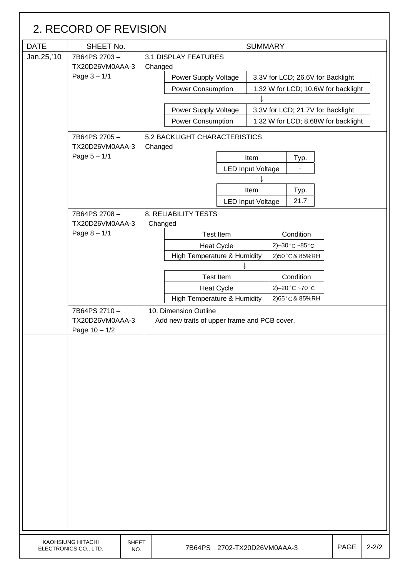|             | 2. RECORD OF REVISION                      |                     |                                          |                                              |                                  |                                     |                                                  |             |           |
|-------------|--------------------------------------------|---------------------|------------------------------------------|----------------------------------------------|----------------------------------|-------------------------------------|--------------------------------------------------|-------------|-----------|
| <b>DATE</b> | SHEET No.                                  |                     | <b>SUMMARY</b>                           |                                              |                                  |                                     |                                                  |             |           |
| Jan.25,'10  | 7B64PS 2703-<br>TX20D26VM0AAA-3            |                     | 3.1 DISPLAY FEATURES<br>Changed          |                                              |                                  |                                     |                                                  |             |           |
|             | Page $3 - 1/1$                             |                     | Power Supply Voltage                     |                                              |                                  |                                     | 3.3V for LCD; 26.6V for Backlight                |             |           |
|             |                                            |                     |                                          | <b>Power Consumption</b>                     |                                  |                                     | 1.32 W for LCD; 10.6W for backlight              |             |           |
|             |                                            |                     |                                          |                                              |                                  |                                     |                                                  |             |           |
|             |                                            |                     |                                          | Power Supply Voltage                         |                                  |                                     | 3.3V for LCD; 21.7V for Backlight                |             |           |
|             |                                            |                     |                                          | <b>Power Consumption</b>                     |                                  |                                     | 1.32 W for LCD; 8.68W for backlight              |             |           |
|             | 7B64PS 2705-<br>TX20D26VM0AAA-3            |                     | 5.2 BACKLIGHT CHARACTERISTICS<br>Changed |                                              |                                  |                                     |                                                  |             |           |
|             | Page $5 - 1/1$                             |                     |                                          |                                              | Item                             |                                     | Typ.                                             |             |           |
|             |                                            |                     |                                          | <b>LED Input Voltage</b>                     |                                  |                                     |                                                  |             |           |
|             |                                            |                     |                                          |                                              |                                  |                                     |                                                  |             |           |
|             |                                            |                     |                                          |                                              | Item<br><b>LED Input Voltage</b> |                                     | Typ.<br>21.7                                     |             |           |
|             | 7B64PS 2708-                               |                     | 8. RELIABILITY TESTS                     |                                              |                                  |                                     |                                                  |             |           |
|             | TX20D26VM0AAA-3                            |                     | Changed                                  |                                              |                                  |                                     |                                                  |             |           |
|             | Page $8 - 1/1$                             |                     |                                          | <b>Test Item</b>                             |                                  |                                     | Condition                                        |             |           |
|             |                                            |                     | <b>Heat Cycle</b>                        |                                              |                                  | 2)-30 $^{\circ}$ C ~85 $^{\circ}$ C |                                                  |             |           |
|             |                                            |                     |                                          | High Temperature & Humidity                  |                                  |                                     | 2)50 °C & 85%RH                                  |             |           |
|             |                                            |                     |                                          |                                              |                                  |                                     |                                                  |             |           |
|             |                                            |                     |                                          | <b>Test Item</b><br><b>Heat Cycle</b>        |                                  |                                     | Condition<br>2)-20 $^{\circ}$ C ~70 $^{\circ}$ C |             |           |
|             |                                            |                     |                                          | High Temperature & Humidity                  |                                  |                                     | 2)65°C&85%RH                                     |             |           |
|             | 7B64PS 2710-                               |                     | 10. Dimension Outline                    |                                              |                                  |                                     |                                                  |             |           |
|             | TX20D26VM0AAA-3<br>Page $10 - 1/2$         |                     |                                          | Add new traits of upper frame and PCB cover. |                                  |                                     |                                                  |             |           |
|             |                                            |                     |                                          |                                              |                                  |                                     |                                                  |             |           |
|             | KAOHSIUNG HITACHI<br>ELECTRONICS CO., LTD. | <b>SHEET</b><br>NO. |                                          | 7B64PS 2702-TX20D26VM0AAA-3                  |                                  |                                     |                                                  | <b>PAGE</b> | $2 - 2/2$ |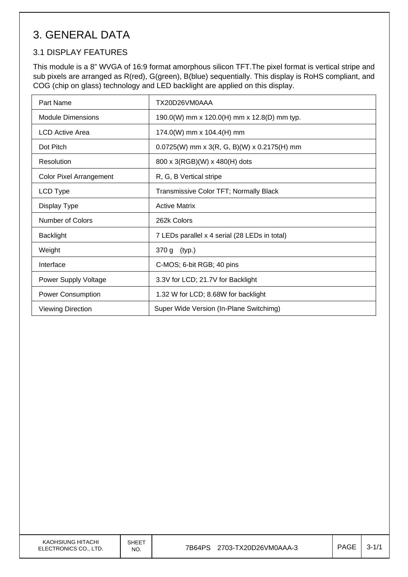# 3. GENERAL DATA

### 3.1 DISPLAY FEATURES

This module is a 8" WVGA of 16:9 format amorphous silicon TFT.The pixel format is vertical stripe and sub pixels are arranged as R(red), G(green), B(blue) sequentially. This display is RoHS compliant, and COG (chip on glass) technology and LED backlight are applied on this display.

| Part Name                      | TX20D26VM0AAA                                 |
|--------------------------------|-----------------------------------------------|
| <b>Module Dimensions</b>       | 190.0(W) mm x 120.0(H) mm x 12.8(D) mm typ.   |
| LCD Active Area                | 174.0(W) mm x 104.4(H) mm                     |
| Dot Pitch                      | $0.0725(W)$ mm x 3(R, G, B)(W) x 0.2175(H) mm |
| Resolution                     | 800 x 3(RGB)(W) x 480(H) dots                 |
| <b>Color Pixel Arrangement</b> | R, G, B Vertical stripe                       |
| LCD Type                       | Transmissive Color TFT; Normally Black        |
| Display Type                   | <b>Active Matrix</b>                          |
| Number of Colors               | 262k Colors                                   |
| <b>Backlight</b>               | 7 LEDs parallel x 4 serial (28 LEDs in total) |
| Weight                         | 370 g (typ.)                                  |
| Interface                      | C-MOS; 6-bit RGB; 40 pins                     |
| <b>Power Supply Voltage</b>    | 3.3V for LCD; 21.7V for Backlight             |
| <b>Power Consumption</b>       | 1.32 W for LCD; 8.68W for backlight           |
| <b>Viewing Direction</b>       | Super Wide Version (In-Plane Switchimg)       |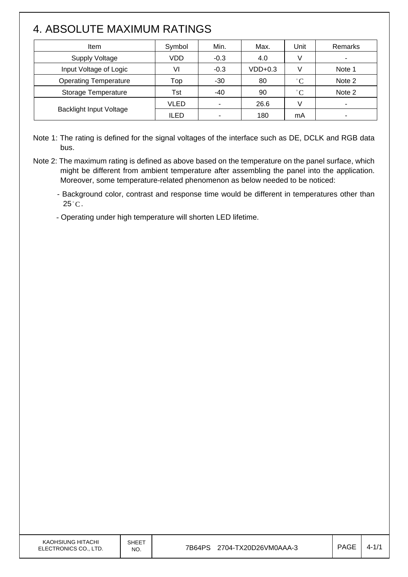# 4. ABSOLUTE MAXIMUM RATINGS

| Item                           | Symbol      | Min.   | Max.      | Unit         | Remarks                  |
|--------------------------------|-------------|--------|-----------|--------------|--------------------------|
| <b>Supply Voltage</b>          | VDD         | $-0.3$ | 4.0       |              | $\overline{\phantom{a}}$ |
| Input Voltage of Logic         | VI          | $-0.3$ | $VDD+0.3$ |              | Note 1                   |
| <b>Operating Temperature</b>   | Top         | $-30$  | 80        | $^{\circ}C$  | Note 2                   |
| Storage Temperature            | Tst         | -40    | 90        | $^{\circ}$ C | Note 2                   |
|                                | VLED        |        | 26.6      |              |                          |
| <b>Backlight Input Voltage</b> | <b>ILED</b> |        | 180       | mA           |                          |

Note 1: The rating is defined for the signal voltages of the interface such as DE, DCLK and RGB data bus.

- Note 2: The maximum rating is defined as above based on the temperature on the panel surface, which might be different from ambient temperature after assembling the panel into the application. Moreover, some temperature-related phenomenon as below needed to be noticed:
	- Background color, contrast and response time would be different in temperatures other than  $25^{\circ}$ C.
	- Operating under high temperature will shorten LED lifetime.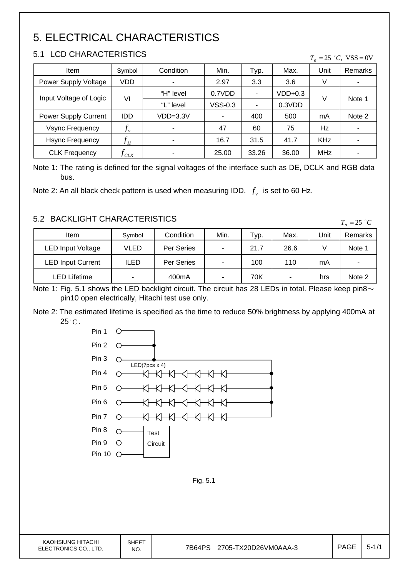# 5. ELECTRICAL CHARACTERISTICS

### 5.1 LCD CHARACTERISTICS

 $\mathsf{I}$ 

| <b>Item</b>                 | Symbol                     | Condition  | Min.      | Typ.           | Max.      | Unit       | <b>Remarks</b> |
|-----------------------------|----------------------------|------------|-----------|----------------|-----------|------------|----------------|
| Power Supply Voltage        | VDD                        |            | 2.97      | 3.3            | 3.6       | V          | ٠              |
| Input Voltage of Logic      | VI                         | "H" level  | 0.7VDD    | $\blacksquare$ | $VDD+0.3$ |            |                |
|                             |                            | "L" level  | $VSS-0.3$ | ۰              | 0.3VDD    | V          | Note 1         |
| <b>Power Supply Current</b> | <b>IDD</b>                 | $VDD=3.3V$ |           | 400            | 500       | mA         | Note 2         |
| <b>Vsync Frequency</b>      | $\mathcal{F}_v$            | ۰          | 47        | 60             | 75        | Hz         | ٠              |
| <b>Hsync Frequency</b>      | $f^{\vphantom{\dagger}}_H$ | ۰          | 16.7      | 31.5           | 41.7      | <b>KHz</b> | ۰              |
| <b>CLK Frequency</b>        | CLK                        |            | 25.00     | 33.26          | 36.00     | MHz        | ۰              |

 $T = 25 \degree C$  VSS = 0V

Note 1: The rating is defined for the signal voltages of the interface such as DE, DCLK and RGB data bus.

Note 2: An all black check pattern is used when measuring IDD.  $f_v$  is set to 60 Hz.

### 5.2 BACKLIGHT CHARACTERISTICS

| 3.2 DAUNLIUMT UMANAUTENISTIUS |             |                    |                          |      |      |      |                          |  |
|-------------------------------|-------------|--------------------|--------------------------|------|------|------|--------------------------|--|
| Item                          | Symbol      | Condition          | Min.                     | Typ. | Max. | Unit | Remarks                  |  |
| <b>LED Input Voltage</b>      | VLED        | Per Series         | ۰                        | 21.7 | 26.6 |      | Note 1                   |  |
| <b>LED Input Current</b>      | <b>ILED</b> | Per Series         | $\overline{\phantom{0}}$ | 100  | 110  | mA   | $\overline{\phantom{0}}$ |  |
| LED Lifetime                  | -           | 400 <sub>m</sub> A |                          | 70K  | ۰    | hrs  | Note 2                   |  |

Note 1: Fig. 5.1 shows the LED backlight circuit. The circuit has 28 LEDs in total. Please keep pin8 $\sim$ pin10 open electrically, Hitachi test use only.

Note 2: The estimated lifetime is specified as the time to reduce 50% brightness by applying 400mA at  $25^{\circ}$ C.

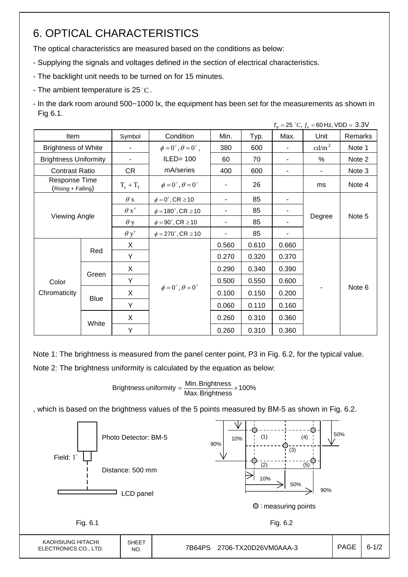# 6. OPTICAL CHARACTERISTICS

The optical characteristics are measured based on the conditions as below:

- Supplying the signals and voltages defined in the section of electrical characteristics.
- The backlight unit needs to be turned on for 15 minutes.
- The ambient temperature is  $25^{\circ}$ C.
- In the dark room around 500~1000 lx, the equipment has been set for the measurements as shown in Fig 6.1.

|                              |                                     |             |                                          |                |       |                          | $T_a = 25 °C$ , $f_v = 60$ Hz, VDD = 3.3V |         |
|------------------------------|-------------------------------------|-------------|------------------------------------------|----------------|-------|--------------------------|-------------------------------------------|---------|
| Item                         |                                     | Symbol      | Condition                                | Min.           | Typ.  | Max.                     | Unit                                      | Remarks |
| <b>Brightness of White</b>   |                                     | ۰           | $\phi = 0^{\circ}, \theta = 0^{\circ}$ , | 380            | 600   | $\overline{\phantom{a}}$ | cd/m <sup>2</sup>                         | Note 1  |
| <b>Brightness Uniformity</b> |                                     | ۰           | $ILED = 100$                             | 60             | 70    |                          | $\%$                                      | Note 2  |
| <b>Contrast Ratio</b>        |                                     | CR          | mA/series                                | 400            | 600   |                          |                                           | Note 3  |
|                              | Response Time<br>(Rising + Falling) |             | $\phi = 0^{\circ}, \theta = 0^{\circ}$   |                | 26    |                          | ms                                        | Note 4  |
|                              |                                     | $\theta$ x  | $\phi = 0^\circ$ , CR $\geq 10$          | $\blacksquare$ | 85    |                          |                                           |         |
|                              |                                     | $\theta x'$ | $\phi = 180^{\circ}, \text{CR} \ge 10$   | $\blacksquare$ | 85    | ۰.                       |                                           |         |
|                              | <b>Viewing Angle</b>                |             | $\phi = 90^{\circ}$ , CR $\geq 10$       | $\blacksquare$ | 85    |                          | Degree                                    | Note 5  |
|                              |                                     | $\theta$ y' | $\phi = 270^{\circ}$ , CR $\geq 10$      | $\blacksquare$ | 85    |                          |                                           |         |
|                              |                                     | X           |                                          | 0.560          | 0.610 | 0.660                    |                                           |         |
|                              | Red                                 | Y           |                                          | 0.270          | 0.320 | 0.370                    |                                           |         |
|                              |                                     | X           |                                          | 0.290          | 0.340 | 0.390                    |                                           |         |
| Color                        | Green                               | Y           |                                          | 0.500          | 0.550 | 0.600                    |                                           |         |
| Chromaticity                 |                                     | X           | $\phi = 0^\circ$ , $\theta = 0^\circ$    | 0.100          | 0.150 | 0.200                    |                                           | Note 6  |
|                              | Blue                                | Y           |                                          | 0.060          | 0.110 | 0.160                    |                                           |         |
|                              | White                               | X           |                                          | 0.260          | 0.310 | 0.360                    |                                           |         |
|                              |                                     | Y           |                                          | 0.260          | 0.310 | 0.360                    |                                           |         |

Note 1: The brightness is measured from the panel center point, P3 in Fig. 6.2, for the typical value. Note 2: The brightness uniformity is calculated by the equation as below:

Brightness uniformity  $=\dfrac{\mathsf{Min}.\mathsf{Brightness}}{\mathsf{Max}.\mathsf{Brightness}}\times\mathsf{100\%}$ 

, which is based on the brightness values of the 5 points measured by BM-5 as shown in Fig. 6.2.

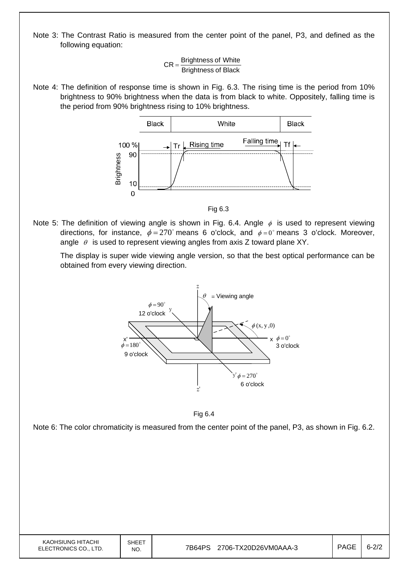Note 3: The Contrast Ratio is measured from the center point of the panel, P3, and defined as the following equation:

> **Brightness of Black**  $CR =$ Brightness of White

Note 4: The definition of response time is shown in Fig. 6.3. The rising time is the period from 10% brightness to 90% brightness when the data is from black to white. Oppositely, falling time is the period from 90% brightness rising to 10% brightness.



Fig 6.3

Note 5: The definition of viewing angle is shown in Fig. 6.4. Angle  $\phi$  is used to represent viewing directions, for instance,  $\phi = 270^{\circ}$  means 6 o'clock, and  $\phi = 0^{\circ}$  means 3 o'clock. Moreover, angle  $\theta$  is used to represent viewing angles from axis Z toward plane XY.

 The display is super wide viewing angle version, so that the best optical performance can be obtained from every viewing direction.



Fig 6.4

Note 6: The color chromaticity is measured from the center point of the panel, P3, as shown in Fig. 6.2.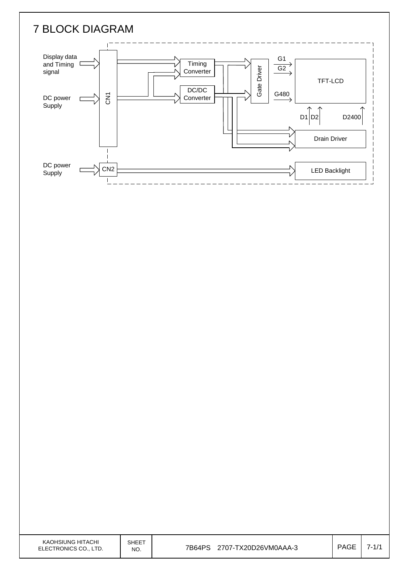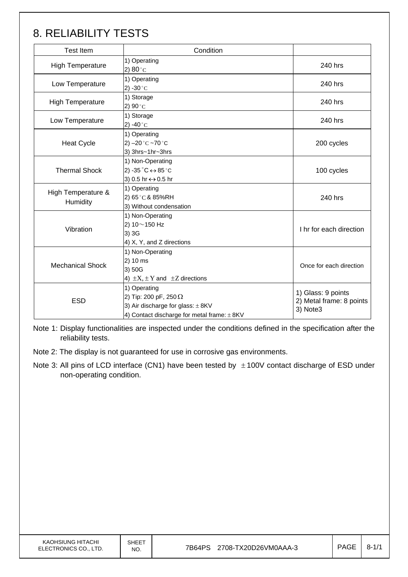# 8. RELIABILITY TESTS

| <b>Test Item</b>               | Condition                                                                                                                                |                                                            |
|--------------------------------|------------------------------------------------------------------------------------------------------------------------------------------|------------------------------------------------------------|
| <b>High Temperature</b>        | 1) Operating<br>2) $80^{\circ}$ C                                                                                                        | 240 hrs                                                    |
| Low Temperature                | 1) Operating<br>2) -30 $^{\circ}$ C                                                                                                      | 240 hrs                                                    |
| <b>High Temperature</b>        | 1) Storage<br>2) $90^{\circ}$ C                                                                                                          | 240 hrs                                                    |
| Low Temperature                | 1) Storage<br>2) -40 $^{\circ}$ C                                                                                                        | 240 hrs                                                    |
| <b>Heat Cycle</b>              | 1) Operating<br>2) $-20$ °C $-70$ °C<br>3) 3hrs~1hr~3hrs                                                                                 | 200 cycles                                                 |
| <b>Thermal Shock</b>           | 1) Non-Operating<br>2) -35 $^{\circ}$ C $\leftrightarrow$ 85 $^{\circ}$ C<br>3) 0.5 hr ↔ 0.5 hr                                          | 100 cycles                                                 |
| High Temperature &<br>Humidity | 1) Operating<br>2) 65°C & 85%RH<br>3) Without condensation                                                                               | 240 hrs                                                    |
| Vibration                      | 1) Non-Operating<br>2) $10 \sim 150$ Hz<br>3) 3G<br>4) X, Y, and Z directions                                                            | I hr for each direction                                    |
| <b>Mechanical Shock</b>        | 1) Non-Operating<br>2) 10 ms<br>3) 50G<br>4) $\pm X$ , $\pm Y$ and $\pm Z$ directions                                                    | Once for each direction                                    |
| <b>ESD</b>                     | 1) Operating<br>2) Tip: 200 pF, 250 $\Omega$<br>3) Air discharge for glass: $\pm$ 8KV<br>4) Contact discharge for metal frame: $\pm$ 8KV | 1) Glass: 9 points<br>2) Metal frame: 8 points<br>3) Note3 |

Note 1: Display functionalities are inspected under the conditions defined in the specification after the reliability tests.

Note 2: The display is not guaranteed for use in corrosive gas environments.

Note 3: All pins of LCD interface (CN1) have been tested by  $\pm$  100V contact discharge of ESD under non-operating condition.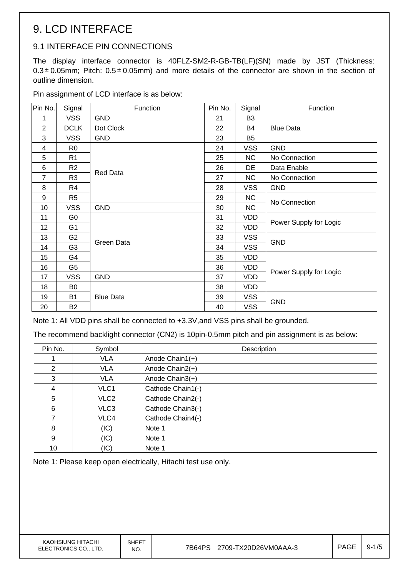# 9. LCD INTERFACE

## 9.1 INTERFACE PIN CONNECTIONS

The display interface connector is 40FLZ-SM2-R-GB-TB(LF)(SN) made by JST (Thickness:  $0.3<sup>±</sup>0.05$ mm; Pitch:  $0.5<sup>±</sup>0.05$ mm) and more details of the connector are shown in the section of outline dimension.

Pin assignment of LCD interface is as below:

| Pin No.        | Signal         | Function         | Pin No. | Signal         | Function               |  |
|----------------|----------------|------------------|---------|----------------|------------------------|--|
| 1              | <b>VSS</b>     | <b>GND</b>       | 21      | B <sub>3</sub> |                        |  |
| 2              | <b>DCLK</b>    | Dot Clock        | 22      | <b>B4</b>      | <b>Blue Data</b>       |  |
| 3              | <b>VSS</b>     | <b>GND</b>       | 23      | B <sub>5</sub> |                        |  |
| 4              | R <sub>0</sub> |                  | 24      | <b>VSS</b>     | <b>GND</b>             |  |
| 5              | R <sub>1</sub> |                  | 25      | <b>NC</b>      | No Connection          |  |
| 6              | R <sub>2</sub> |                  | 26      | DE             | Data Enable            |  |
| $\overline{7}$ | R <sub>3</sub> | <b>Red Data</b>  | 27      | <b>NC</b>      | No Connection          |  |
| 8              | R4             |                  | 28      | <b>VSS</b>     | <b>GND</b>             |  |
| 9              | R <sub>5</sub> |                  | 29      | <b>NC</b>      | No Connection          |  |
| 10             | <b>VSS</b>     | <b>GND</b>       | 30      | <b>NC</b>      |                        |  |
| 11             | G <sub>0</sub> |                  | 31      | <b>VDD</b>     |                        |  |
| 12             | G <sub>1</sub> |                  | 32      | <b>VDD</b>     | Power Supply for Logic |  |
| 13             | G <sub>2</sub> | Green Data       | 33      | <b>VSS</b>     | GND                    |  |
| 14             | G <sub>3</sub> |                  | 34      | <b>VSS</b>     |                        |  |
| 15             | G4             |                  | 35      | <b>VDD</b>     |                        |  |
| 16             | G <sub>5</sub> |                  | 36      | <b>VDD</b>     |                        |  |
| 17             | <b>VSS</b>     | <b>GND</b>       | 37      | <b>VDD</b>     | Power Supply for Logic |  |
| 18             | B0             |                  | 38      | <b>VDD</b>     |                        |  |
| 19             | <b>B1</b>      | <b>Blue Data</b> | 39      | <b>VSS</b>     |                        |  |
| 20             | B2             |                  | 40      | <b>VSS</b>     | <b>GND</b>             |  |

Note 1: All VDD pins shall be connected to +3.3V, and VSS pins shall be grounded.

The recommend backlight connector (CN2) is 10pin-0.5mm pitch and pin assignment is as below:

| Pin No. | Symbol           | Description       |
|---------|------------------|-------------------|
|         | <b>VLA</b>       | Anode Chain1(+)   |
| 2       | <b>VLA</b>       | Anode Chain2(+)   |
| 3       | <b>VLA</b>       | Anode Chain3(+)   |
| 4       | VLC1             | Cathode Chain1(-) |
| 5       | VLC <sub>2</sub> | Cathode Chain2(-) |
| 6       | VLC3             | Cathode Chain3(-) |
|         | VLC4             | Cathode Chain4(-) |
| 8       | (IC)             | Note 1            |
| 9       | (IC)             | Note 1            |
| 10      | (IC)             | Note 1            |

Note 1: Please keep open electrically, Hitachi test use only.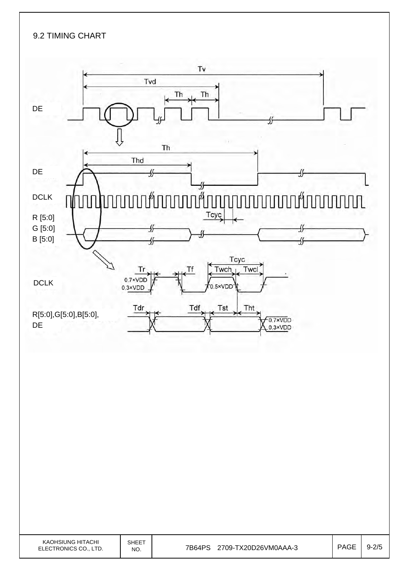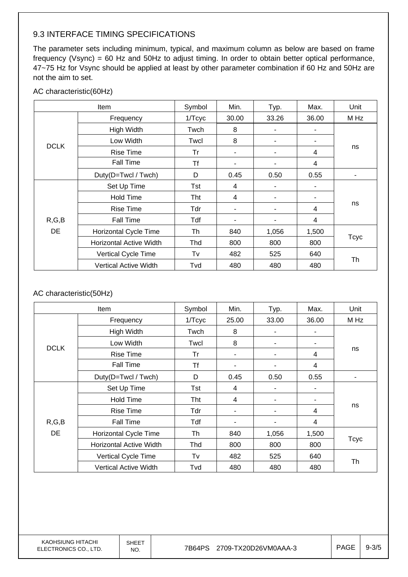### 9.3 INTERFACE TIMING SPECIFICATIONS

The parameter sets including minimum, typical, and maximum column as below are based on frame frequency (Vsync) = 60 Hz and 50Hz to adjust timing. In order to obtain better optical performance, 47~75 Hz for Vsync should be applied at least by other parameter combination if 60 Hz and 50Hz are not the aim to set.

#### AC characteristic(60Hz)

|             | Item                           | Symbol | Min.  | Typ.  | Max.  | Unit        |  |
|-------------|--------------------------------|--------|-------|-------|-------|-------------|--|
|             | Frequency                      | 1/Tcyc | 30.00 | 33.26 | 36.00 | M Hz        |  |
|             | High Width                     | Twch   | 8     | ٠     |       |             |  |
|             | Low Width                      | Twcl   | 8     | ٠     |       |             |  |
| <b>DCLK</b> | <b>Rise Time</b>               | Tr     |       | ٠     | 4     | ns          |  |
|             | Fall Time                      | Τf     |       | ۰     | 4     |             |  |
|             | Duty(D=Twcl / Twch)            | D      | 0.45  | 0.50  | 0.55  |             |  |
|             | Set Up Time                    | Tst    | 4     | ٠     |       |             |  |
|             | <b>Hold Time</b>               | Tht    | 4     | ٠     | ۰     |             |  |
|             | <b>Rise Time</b>               | Tdr    |       |       | 4     | ns          |  |
| R, G, B     | Fall Time                      | Tdf    |       | ٠     | 4     |             |  |
| <b>DE</b>   | Horizontal Cycle Time          | Th     | 840   | 1,056 | 1,500 |             |  |
|             | <b>Horizontal Active Width</b> | Thd    | 800   | 800   | 800   | <b>Tcyc</b> |  |
|             | Vertical Cycle Time            | Tv     | 482   | 525   | 640   |             |  |
|             | <b>Vertical Active Width</b>   | Tvd    | 480   | 480   | 480   | Th          |  |

#### AC characteristic(50Hz)

|             | Item                           |        | Min.  | Typ.  | Max.  | Unit        |  |
|-------------|--------------------------------|--------|-------|-------|-------|-------------|--|
|             | Frequency                      | 1/Tcyc | 25.00 | 33.00 | 36.00 | M Hz        |  |
|             | High Width                     | Twch   | 8     |       |       |             |  |
|             | Low Width                      | Twcl   | 8     | ۰     | ۰     |             |  |
| <b>DCLK</b> | <b>Rise Time</b>               | Tr     |       | ۰     | 4     | ns          |  |
|             | <b>Fall Time</b>               | Tf     |       | ۰     | 4     |             |  |
|             | Duty(D=Twcl / Twch)            | D      | 0.45  | 0.50  | 0.55  |             |  |
|             | Set Up Time                    | Tst    | 4     | ٠     |       |             |  |
|             | <b>Hold Time</b>               | Tht    | 4     |       |       |             |  |
|             | <b>Rise Time</b>               | Tdr    |       | ۰     | 4     | ns          |  |
| R, G, B     | <b>Fall Time</b>               | Tdf    |       |       | 4     |             |  |
| <b>DE</b>   | <b>Horizontal Cycle Time</b>   | Th     | 840   | 1,056 | 1,500 | <b>Tcyc</b> |  |
|             | <b>Horizontal Active Width</b> | Thd    | 800   | 800   | 800   |             |  |
|             | Vertical Cycle Time            | Tv     | 482   | 525   | 640   | Th          |  |
|             | <b>Vertical Active Width</b>   | Tvd    | 480   | 480   | 480   |             |  |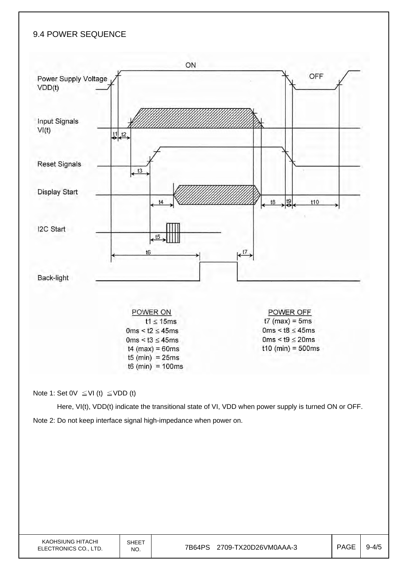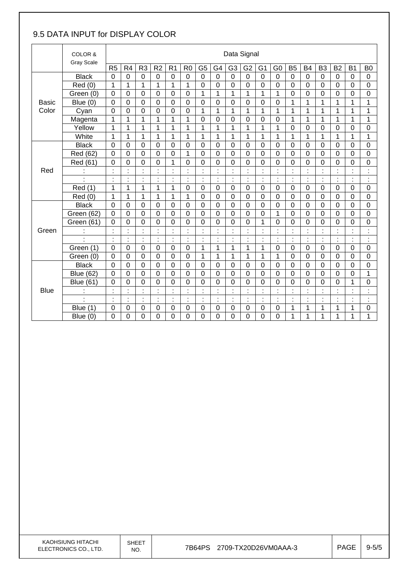## 9.5 DATA INPUT for DISPLAY COLOR

|              | COLOR &           |                |                      |                      |                     |                           |                  |                |                | Data Signal    |                                          |                  |                                  |                |                      |                  |                |                      |                         |
|--------------|-------------------|----------------|----------------------|----------------------|---------------------|---------------------------|------------------|----------------|----------------|----------------|------------------------------------------|------------------|----------------------------------|----------------|----------------------|------------------|----------------|----------------------|-------------------------|
|              | <b>Gray Scale</b> | R <sub>5</sub> | R <sub>4</sub>       | R <sub>3</sub>       | R <sub>2</sub>      | R <sub>1</sub>            | R <sub>0</sub>   | G <sub>5</sub> | G4             | G <sub>3</sub> | G <sub>2</sub>                           | G <sub>1</sub>   | G <sub>0</sub>                   | B <sub>5</sub> | <b>B4</b>            | B <sub>3</sub>   | <b>B2</b>      | <b>B1</b>            | B <sub>0</sub>          |
|              | <b>Black</b>      | $\mathbf 0$    | 0                    | 0                    | $\mathbf 0$         | $\mathbf 0$               | $\mathbf 0$      | $\mathbf 0$    | $\mathbf 0$    | $\mathbf 0$    | $\mathbf 0$                              | $\mathbf 0$      | $\mathbf 0$                      | $\mathbf 0$    | $\mathbf 0$          | $\mathbf 0$      | 0              | $\mathbf 0$          | $\mathbf 0$             |
|              | Red(0)            | 1              | 1                    | $\mathbf{1}$         | $\mathbf{1}$        | $\overline{1}$            | $\overline{1}$   | $\mathbf 0$    | $\overline{0}$ | 0              | $\mathbf 0$                              | $\mathbf 0$      | 0                                | $\overline{0}$ | $\overline{0}$       | $\mathbf 0$      | $\mathbf 0$    | $\overline{0}$       | $\mathbf 0$             |
|              | Green (0)         | 0              | 0                    | 0                    | 0                   | $\mathbf 0$               | 0                | 1              | 1              | 1              | 1                                        | 1                | 1                                | 0              | 0                    | 0                | 0              | 0                    | 0                       |
| <b>Basic</b> | Blue $(0)$        | 0              | $\mathbf 0$          | $\overline{0}$       | 0                   | 0                         | $\overline{0}$   | $\overline{0}$ | $\mathbf 0$    | 0              | $\mathbf 0$                              | $\mathbf 0$      | 0                                | $\overline{1}$ | 1                    | 1                | 1              | $\overline{1}$       | $\overline{\mathbf{1}}$ |
| Color        | Cyan              | $\mathbf 0$    | $\mathbf 0$          | $\overline{0}$       | $\Omega$            | $\mathbf 0$               | $\overline{0}$   | 1              | $\mathbf{1}$   | 1              | 1                                        | 1                | 1                                | 1              | 1                    | 1                | 1              | 1                    | 1                       |
|              | Magenta           | 1              | 1                    | $\mathbf{1}$         | $\mathbf{1}$        | 1                         | 1                | $\pmb{0}$      | $\mathbf 0$    | 0              | $\mathbf 0$                              | $\mathbf 0$      | 0                                | 1              | $\mathbf{1}$         | 1                | 1              | 1                    | 1                       |
|              | Yellow            | 1              | 1                    | 1                    | 1                   | 1                         | 1                | 1              | $\overline{1}$ | 1              | 1                                        | 1                | 1                                | $\mathbf 0$    | 0                    | $\boldsymbol{0}$ | 0              | 0                    | $\mathbf 0$             |
|              | White             | $\mathbf 1$    | 1                    | 1                    | 1                   | 1                         | 1                | $\mathbf{1}$   | $\mathbf{1}$   | 1              | $\mathbf{1}$                             | 1                | 1                                | $\mathbf{1}$   | 1                    | 1                | 1              | 1                    | $\overline{1}$          |
|              | <b>Black</b>      | $\overline{0}$ | 0                    | 0                    | 0                   | 0                         | 0                | $\mathbf 0$    | $\mathbf 0$    | 0              | 0                                        | 0                | 0                                | 0              | 0                    | 0                | 0              | 0                    | $\mathbf 0$             |
|              | Red (62)          | $\overline{0}$ | $\mathbf 0$          | $\overline{0}$       | 0                   | 0                         | 1                | $\mathbf 0$    | $\mathbf 0$    | 0              | $\mathbf 0$                              | $\mathbf 0$      | 0                                | $\mathbf 0$    | 0                    | 0                | $\mathbf 0$    | $\overline{0}$       | $\mathbf 0$             |
|              | Red (61)          | 0              | $\overline{0}$       | $\overline{0}$       | 0                   | 1                         | 0                | 0              | $\overline{0}$ | 0              | 0                                        | 0                | 0                                | $\Omega$       | $\Omega$             | $\overline{0}$   | 0              | 0                    | $\overline{0}$          |
| Red          |                   |                | Ì.                   | t                    | ċ                   | t                         |                  | ÷              | t              | t              |                                          |                  | $\ddot{\cdot}$                   | t              |                      |                  |                | t                    | t                       |
|              |                   |                | Ì.                   | t                    | t                   | t                         |                  | ÷              | t              | ÷              | ÷                                        | t                | ÷                                | t              | t                    | t                | t              | t                    | Ì,                      |
|              | <b>Red</b> (1)    | 1              | $\mathbf 1$          | 1                    | 1                   | $\mathbf 1$               | $\mathbf 0$      | $\mathbf 0$    | $\mathbf 0$    | $\mathbf 0$    | $\mathbf 0$                              | $\mathbf 0$      | 0                                | $\mathbf 0$    | $\mathbf 0$          | $\mathbf 0$      | $\mathbf 0$    | 0                    | $\mathbf 0$             |
|              | Red(0)            | 1              | $\overline{1}$       | $\mathbf{1}$         | $\mathbf{1}$        | 1                         | 1                | $\mathbf 0$    | $\mathbf 0$    | 0              | $\overline{0}$                           | $\overline{0}$   | 0                                | $\overline{0}$ | $\overline{0}$       | $\mathbf 0$      | $\mathbf 0$    | $\overline{0}$       | $\mathbf 0$             |
|              | <b>Black</b>      | $\Omega$       | $\mathbf 0$          | 0                    | 0                   | 0                         | $\overline{0}$   | $\overline{0}$ | $\mathbf 0$    | 0              | $\mathbf 0$                              | $\overline{0}$   | $\mathbf 0$                      | $\overline{0}$ | $\overline{0}$       | $\mathbf 0$      | $\mathbf 0$    | 0                    | $\mathbf 0$             |
|              | Green (62)        | $\mathbf 0$    | 0                    | $\mathbf 0$          | $\Omega$            | 0                         | 0                | $\mathbf 0$    | $\mathbf 0$    | 0              | $\mathbf 0$                              | $\mathbf 0$      | 1                                | $\mathbf 0$    | 0                    | $\mathbf 0$      | 0              | 0                    | $\mathbf 0$             |
|              | Green (61)        | $\overline{0}$ | $\mathbf 0$          | $\mathbf 0$          | 0                   | 0                         | $\overline{0}$   | $\mathbf 0$    | $\mathbf 0$    | 0              | $\mathbf 0$                              | 1                | 0                                | 0              | $\overline{0}$       | $\mathbf 0$      | $\mathbf 0$    | 0                    | $\mathbf 0$             |
| Green        |                   |                | İ.                   | ×                    |                     | t                         |                  | t              | $\bullet$      |                |                                          |                  | ċ                                | $\epsilon$     |                      |                  |                | $\blacksquare$<br>×. |                         |
|              | $\mathbf{r}$      | t              | ł,                   | t                    | ÷                   | $\ddot{\cdot}$            | ÷                | ÷              | t              | t              | t                                        | ÷.               | $\ddot{\cdot}$                   | t              | t                    | Ì,               | ł,             | t                    | t                       |
|              | Green (1)         | $\mathbf 0$    | $\mathbf 0$          | $\mathbf 0$          | $\overline{0}$      | $\mathbf 0$               | $\overline{0}$   | $\mathbf{1}$   | $\mathbf{1}$   | $\mathbf{1}$   | 1                                        | 1                | 0                                | $\overline{0}$ | $\overline{0}$       | $\overline{0}$   | $\overline{0}$ | 0                    | $\overline{0}$          |
|              | Green (0)         | $\Omega$       | $\mathbf 0$          | 0                    | $\Omega$            | $\Omega$                  | $\Omega$         | 1              | 1              | 1              | 1                                        | 1                | 1                                | 0              | $\Omega$             | $\Omega$         | 0              | $\Omega$             | $\overline{0}$          |
|              | <b>Black</b>      | 0              | 0                    | 0                    | 0                   | 0                         | 0                | $\mathbf 0$    | $\mathbf 0$    | 0              | 0                                        | $\mathbf 0$      | $\mathbf 0$                      | $\mathbf 0$    | 0                    | 0                | $\mathbf 0$    | 0                    | $\mathbf 0$             |
|              | <b>Blue (62)</b>  | $\Omega$       | $\mathbf 0$          | $\overline{0}$       | $\Omega$            | $\mathbf 0$               | $\overline{0}$   | $\overline{0}$ | $\overline{0}$ | 0              | $\mathbf 0$                              | $\mathbf 0$      | $\overline{0}$                   | $\overline{0}$ | $\overline{0}$       | $\overline{0}$   | $\overline{0}$ | 0                    | 1                       |
|              | <b>Blue (61)</b>  | 0              | 0                    | 0                    | 0                   | 0                         | $\mathbf 0$      | 0              | $\mathbf 0$    | 0              | 0                                        | $\mathbf 0$      | $\mathbf 0$                      | 0              | 0                    | $\mathbf 0$      | 0              | 1                    | $\mathbf 0$             |
| <b>Blue</b>  |                   | t              | Ì.                   | ×,<br>$\blacksquare$ | t                   | $\ddot{\cdot}$            | ÷                | ÷,             | t              | t              | ÷                                        | ¥,<br>ä,         | t,                               | t              | $\ddot{\phantom{a}}$ | Ì,               | t,             | $\blacksquare$<br>٠  | $\ddot{\cdot}$          |
|              |                   | $\bullet$      | ¥,<br>$\blacksquare$ | ¥,<br>ä,             | $\blacksquare$<br>٠ | $\blacksquare$<br>$\cdot$ | $\blacksquare$   | ¥.<br>٠        | $\blacksquare$ | $\bullet$      | $\mathbf{r}$<br>$\overline{\phantom{a}}$ | ä,               | $\blacksquare$<br>$\blacksquare$ | à.             | ×,                   | $\blacksquare$   | à.             | ×.                   | ×,<br>×                 |
|              | Blue (1)          | $\mathbf 0$    | 0                    | 0                    | $\mathbf 0$         | 0                         | $\boldsymbol{0}$ | $\pmb{0}$      | $\mathbf 0$    | 0              | $\pmb{0}$                                | $\boldsymbol{0}$ | 0                                | 1              | 1                    | 1                | 1              | 1                    | $\boldsymbol{0}$        |
|              | Blue (0)          | $\overline{0}$ | 0                    | 0                    | 0                   | 0                         | 0                | 0              | 0              | 0              | 0                                        | 0                | 0                                | 1              | 1                    | 1                | 1              | 1                    | 1                       |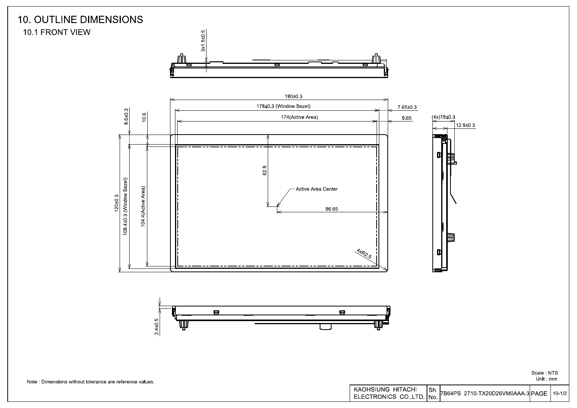

7B64PS 2710-TX20D26VM0AAA-3 PAGE 10-1/2 ELECTRONICS CO., LTD. No.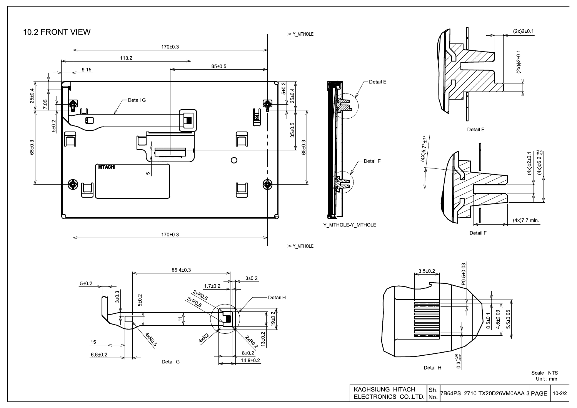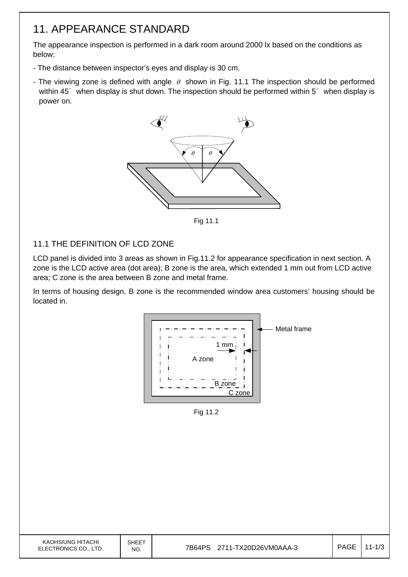# 11. APPEARANCE STANDARD

The appearance inspection is performed in a dark room around 2000 lx based on the conditions as below:

- The distance between inspector's eyes and display is 30 cm.
- The viewing zone is defined with angle  $\theta$  shown in Fig. 11.1 The inspection should be performed within 45° when display is shut down. The inspection should be performed within 5° when display is power on.



Fig. 12.1 Fig 11.1

### 11.1 THE DEFINITION OF LCD ZONE

LCD panel is divided into 3 areas as shown in Fig.11.2 for appearance specification in next section. A zone is the LCD active area (dot area); B zone is the area, which extended 1 mm out from LCD active area; C zone is the area between B zone and metal frame.

In terms of housing design, B zone is the recommended window area customers' housing should be located in.



Fig. 11.2 Fig 11.2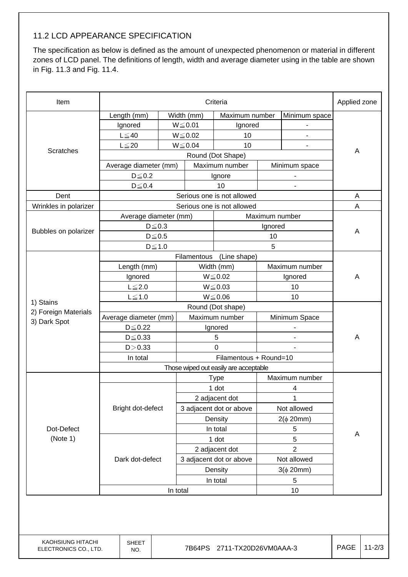### 11.2 LCD APPEARANCE SPECIFICATION

The specification as below is defined as the amount of unexpected phenomenon or material in different zones of LCD panel. The definitions of length, width and average diameter using in the table are shown in Fig. 11.3 and Fig. 11.4.

| Item                  | Criteria                                |                            |                         |                                       |                |                |   |  |
|-----------------------|-----------------------------------------|----------------------------|-------------------------|---------------------------------------|----------------|----------------|---|--|
|                       | Length (mm)                             |                            | Width (mm)              | Maximum number                        |                | Minimum space  |   |  |
|                       | Ignored                                 |                            | $W \le 0.01$            | Ignored                               |                |                |   |  |
|                       | $L \leq 40$                             |                            | $W \le 0.02$<br>10      |                                       |                |                |   |  |
|                       | $L \leq 20$                             |                            | $W \le 0.04$            |                                       |                |                |   |  |
| <b>Scratches</b>      |                                         |                            |                         | Round (Dot Shape)                     |                |                | A |  |
|                       | Average diameter (mm)                   |                            |                         | Maximum number                        |                |                |   |  |
|                       | $D \le 0.2$                             |                            |                         | Ignore                                |                |                |   |  |
|                       | $D \le 0.4$                             |                            |                         | 10<br>$\overline{\phantom{0}}$        |                |                |   |  |
| Dent                  |                                         | Serious one is not allowed |                         |                                       |                | A              |   |  |
| Wrinkles in polarizer |                                         |                            |                         | Serious one is not allowed            |                |                | A |  |
|                       | Average diameter (mm)<br>Maximum number |                            |                         |                                       |                |                |   |  |
| Bubbles on polarizer  | $D \le 0.3$                             |                            |                         |                                       | Ignored        |                | A |  |
|                       | $D\!\leq\!0.5$                          |                            |                         |                                       |                |                |   |  |
|                       | $D \leq 1.0$                            |                            |                         |                                       | 5              |                |   |  |
|                       |                                         |                            |                         |                                       |                |                |   |  |
|                       | Length (mm)                             |                            | Width (mm)              |                                       |                | Maximum number | Α |  |
|                       | Ignored                                 |                            | $W \le 0.02$            |                                       | Ignored        |                |   |  |
|                       | $L \leq 2.0$                            |                            | $W \le 0.03$            |                                       | 10             |                |   |  |
| 1) Stains             | $L \leq 1.0$                            |                            | $W \le 0.06$            |                                       | 10             |                |   |  |
| 2) Foreign Materials  | Round (Dot shape)                       |                            |                         |                                       |                |                |   |  |
| 3) Dark Spot          | Average diameter (mm)                   |                            |                         | Maximum number                        |                | Minimum Space  |   |  |
|                       | $D\!\leq\!0.22$                         |                            |                         | Ignored                               |                |                | A |  |
|                       | $D \leq 0.33$                           |                            |                         | 5                                     |                |                |   |  |
|                       | D > 0.33                                |                            |                         | $\Omega$                              |                |                |   |  |
|                       | In total                                |                            | Filamentous + Round=10  |                                       |                |                |   |  |
|                       |                                         |                            |                         | Those wiped out easily are acceptable |                |                |   |  |
|                       |                                         |                            | <b>Type</b>             |                                       | Maximum number |                |   |  |
|                       |                                         |                            | 1 dot                   |                                       | 4              |                |   |  |
|                       |                                         |                            | 2 adjacent dot          |                                       | 1              |                |   |  |
|                       | Bright dot-defect                       |                            |                         | 3 adjacent dot or above               | Not allowed    |                |   |  |
|                       |                                         |                            |                         | Density                               | $2(\phi 20mm)$ |                |   |  |
| Dot-Defect            |                                         |                            |                         | In total                              | 5              |                | A |  |
| (Note 1)              |                                         |                            | 1 dot                   |                                       | 5              |                |   |  |
|                       |                                         |                            | 2 adjacent dot          |                                       | $\overline{2}$ |                |   |  |
|                       | Dark dot-defect                         |                            | 3 adjacent dot or above |                                       | Not allowed    |                |   |  |
|                       |                                         |                            |                         | Density                               | $3(\phi 20mm)$ |                |   |  |
|                       |                                         |                            | In total                |                                       |                | $\,$ 5 $\,$    |   |  |
|                       | In total<br>10                          |                            |                         |                                       |                |                |   |  |
|                       |                                         |                            |                         |                                       |                |                |   |  |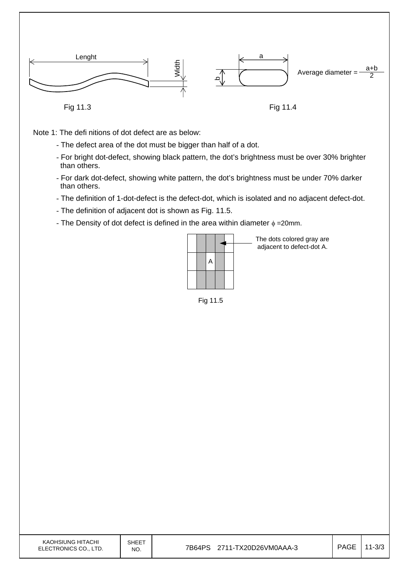

Note 1: The defi nitions of dot defect are as below:

- The defect area of the dot must be bigger than half of a dot.
- For bright dot-defect, showing black pattern, the dot's brightness must be over 30% brighter than others.
- For dark dot-defect, showing white pattern, the dot's brightness must be under 70% darker than others.
- The definition of 1-dot-defect is the defect-dot, which is isolated and no adjacent defect-dot.
- The definition of adjacent dot is shown as Fig. 11.5.
- The Density of dot defect is defined in the area within diameter  $\phi = 20$ mm.



Fig 11.5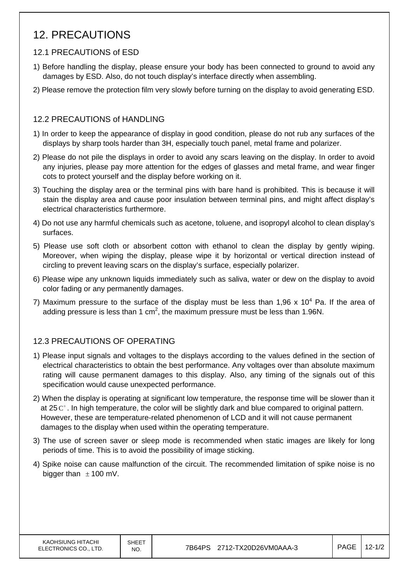# 12. PRECAUTIONS

### 12.1 PRECAUTIONS of ESD

- 1) Before handling the display, please ensure your body has been connected to ground to avoid any damages by ESD. Also, do not touch display's interface directly when assembling.
- 2) Please remove the protection film very slowly before turning on the display to avoid generating ESD.

### 12.2 PRECAUTIONS of HANDLING

- 1) In order to keep the appearance of display in good condition, please do not rub any surfaces of the displays by sharp tools harder than 3H, especially touch panel, metal frame and polarizer.
- 2) Please do not pile the displays in order to avoid any scars leaving on the display. In order to avoid any injuries, please pay more attention for the edges of glasses and metal frame, and wear finger cots to protect yourself and the display before working on it.
- 3) Touching the display area or the terminal pins with bare hand is prohibited. This is because it will stain the display area and cause poor insulation between terminal pins, and might affect display's electrical characteristics furthermore.
- 4) Do not use any harmful chemicals such as acetone, toluene, and isopropyl alcohol to clean display's surfaces.
- 5) Please use soft cloth or absorbent cotton with ethanol to clean the display by gently wiping. Moreover, when wiping the display, please wipe it by horizontal or vertical direction instead of circling to prevent leaving scars on the display's surface, especially polarizer.
- 6) Please wipe any unknown liquids immediately such as saliva, water or dew on the display to avoid color fading or any permanently damages.
- 7) Maximum pressure to the surface of the display must be less than 1,96 x 10<sup>4</sup> Pa. If the area of adding pressure is less than 1 cm<sup>2</sup>, the maximum pressure must be less than 1.96N.

### 12.3 PRECAUTIONS OF OPERATING

- 1) Please input signals and voltages to the displays according to the values defined in the section of electrical characteristics to obtain the best performance. Any voltages over than absolute maximum rating will cause permanent damages to this display. Also, any timing of the signals out of this specification would cause unexpected performance.
- 2) When the display is operating at significant low temperature, the response time will be slower than it at  $25^\circ$ . In high temperature, the color will be slightly dark and blue compared to original pattern. However, these are temperature-related phenomenon of LCD and it will not cause permanent damages to the display when used within the operating temperature.
- 3) The use of screen saver or sleep mode is recommended when static images are likely for long periods of time. This is to avoid the possibility of image sticking.
- 4) Spike noise can cause malfunction of the circuit. The recommended limitation of spike noise is no bigger than  $\pm$  100 mV.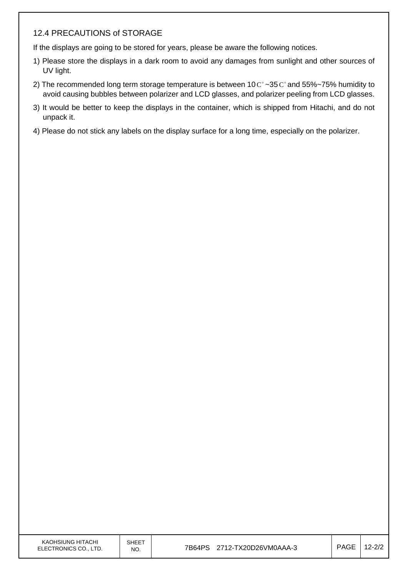### 12.4 PRECAUTIONS of STORAGE

If the displays are going to be stored for years, please be aware the following notices.

- 1) Please store the displays in a dark room to avoid any damages from sunlight and other sources of UV light.
- 2) The recommended long term storage temperature is between  $10^{\circ}$  ~35  $^{\circ}$  and 55%~75% humidity to avoid causing bubbles between polarizer and LCD glasses, and polarizer peeling from LCD glasses.
- 3) It would be better to keep the displays in the container, which is shipped from Hitachi, and do not unpack it.
- 4) Please do not stick any labels on the display surface for a long time, especially on the polarizer.